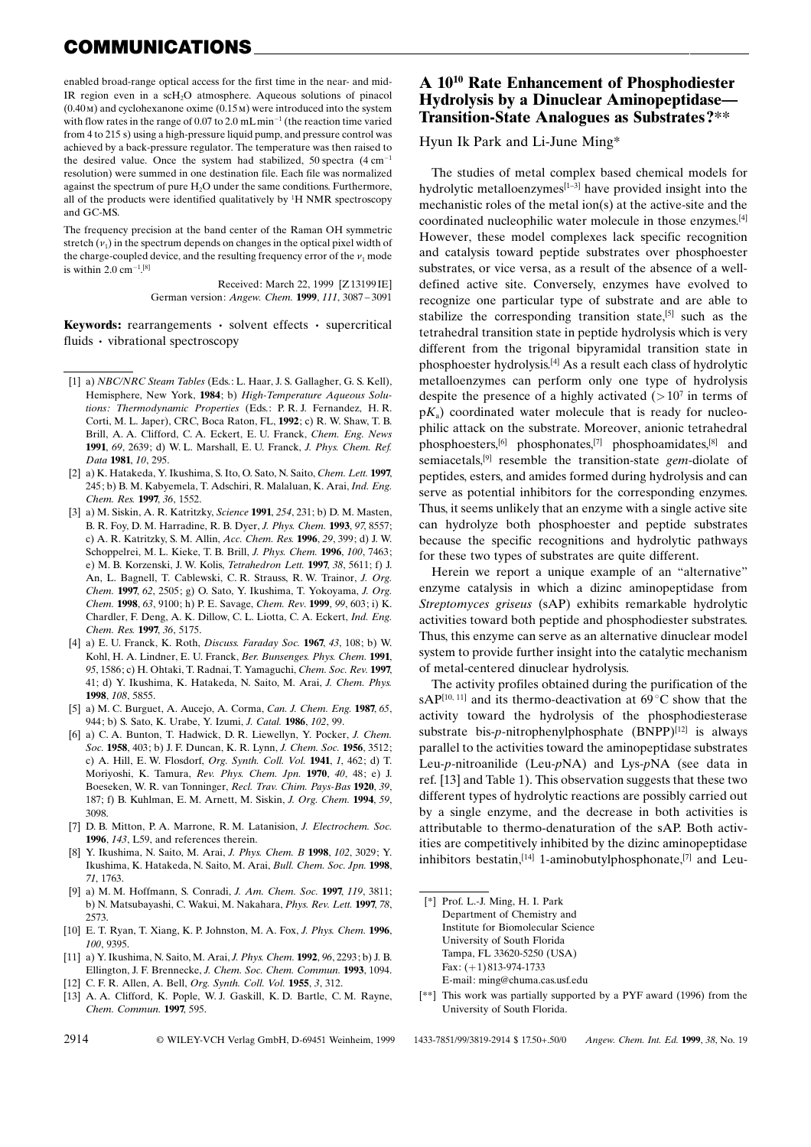## COMMUNICATIONS

enabled broad-range optical access for the first time in the near- and mid-IR region even in a scH2O atmosphere. Aqueous solutions of pinacol  $(0.40 \text{ m})$  and cyclohexanone oxime  $(0.15 \text{ m})$  were introduced into the system with flow rates in the range of 0.07 to 2.0 mLmin<sup>-1</sup> (the reaction time varied from 4 to 215 s) using a high-pressure liquid pump, and pressure control was achieved by a back-pressure regulator. The temperature was then raised to the desired value. Once the system had stabilized, 50 spectra  $(4 \text{ cm}^{-1})$ resolution) were summed in one destination file. Each file was normalized against the spectrum of pure  $H_2O$  under the same conditions. Furthermore, all of the products were identified qualitatively by <sup>1</sup>H NMR spectroscopy and GC-MS.

The frequency precision at the band center of the Raman OH symmetric stretch  $(v_1)$  in the spectrum depends on changes in the optical pixel width of the charge-coupled device, and the resulting frequency error of the  $v_1$  mode is within  $2.0 \text{ cm}^{-1}$  [8]

> Received: March 22, 1999 [Z 13199 IE] German version: Angew. Chem. 1999, 111, 3087-3091

**Keywords:** rearrangements  $\cdot$  solvent effects  $\cdot$  supercritical fluids • vibrational spectroscopy

- [1] a) NBC/NRC Steam Tables (Eds.: L. Haar, J. S. Gallagher, G. S. Kell), Hemisphere, New York, 1984; b) High-Temperature Aqueous Solutions: Thermodynamic Properties (Eds.: P. R. J. Fernandez, H. R. Corti, M. L. Japer), CRC, Boca Raton, FL, 1992; c) R. W. Shaw, T. B. Brill, A. A. Clifford, C. A. Eckert, E. U. Franck, Chem. Eng. News 1991, 69, 2639; d) W. L. Marshall, E. U. Franck, J. Phys. Chem. Ref. Data 1981, 10, 295.
- [2] a) K. Hatakeda, Y. Ikushima, S. Ito, O. Sato, N. Saito, Chem. Lett. 1997, 245; b) B. M. Kabyemela, T. Adschiri, R. Malaluan, K. Arai, Ind. Eng. Chem. Res. 1997, 36, 1552.
- [3] a) M. Siskin, A. R. Katritzky, Science 1991, 254, 231; b) D. M. Masten, B. R. Foy, D. M. Harradine, R. B. Dyer, J. Phys. Chem. 1993, 97, 8557; c) A. R. Katritzky, S. M. Allin, Acc. Chem. Res. 1996, 29, 399; d) J. W. Schoppelrei, M. L. Kieke, T. B. Brill, J. Phys. Chem. 1996, 100, 7463; e) M. B. Korzenski, J. W. Kolis, Tetrahedron Lett. 1997, 38, 5611; f) J. An, L. Bagnell, T. Cablewski, C. R. Strauss, R. W. Trainor, J. Org. Chem. 1997, 62, 2505; g) O. Sato, Y. Ikushima, T. Yokoyama, J. Org. Chem. 1998, 63, 9100; h) P. E. Savage, Chem. Rev. 1999, 99, 603; i) K. Chardler, F. Deng, A. K. Dillow, C. L. Liotta, C. A. Eckert, Ind. Eng. Chem. Res. 1997, 36, 5175.
- [4] a) E. U. Franck, K. Roth, Discuss. Faraday Soc. 1967, 43, 108; b) W. Kohl, H. A. Lindner, E. U. Franck, Ber. Bunsenges. Phys. Chem. 1991, 95, 1586; c) H. Ohtaki, T. Radnai, T. Yamaguchi, Chem. Soc. Rev. 1997, 41; d) Y. Ikushima, K. Hatakeda, N. Saito, M. Arai, J. Chem. Phys. 1998, 108, 5855.
- [5] a) M. C. Burguet, A. Aucejo, A. Corma, Can. J. Chem. Eng. 1987, 65, 944; b) S. Sato, K. Urabe, Y. Izumi, J. Catal. 1986, 102, 99.
- [6] a) C. A. Bunton, T. Hadwick, D. R. Liewellyn, Y. Pocker, J. Chem. Soc. 1958, 403; b) J. F. Duncan, K. R. Lynn, J. Chem. Soc. 1956, 3512; c) A. Hill, E. W. Flosdorf, Org. Synth. Coll. Vol. 1941, 1, 462; d) T. Moriyoshi, K. Tamura, Rev. Phys. Chem. Jpn. 1970, 40, 48; e) J. Boeseken, W. R. van Tonninger, Recl. Trav. Chim. Pays-Bas 1920, 39, 187; f) B. Kuhlman, E. M. Arnett, M. Siskin, J. Org. Chem. 1994, 59, 3098.
- [7] D. B. Mitton, P. A. Marrone, R. M. Latanision, J. Electrochem. Soc. 1996, 143, L59, and references therein.
- [8] Y. Ikushima, N. Saito, M. Arai, J. Phys. Chem. B 1998, 102, 3029; Y. Ikushima, K. Hatakeda, N. Saito, M. Arai, Bull. Chem. Soc. Jpn. 1998, 71, 1763.
- [9] a) M. M. Hoffmann, S. Conradi, J. Am. Chem. Soc. 1997, 119, 3811; b) N. Matsubayashi, C. Wakui, M. Nakahara, Phys. Rev. Lett. 1997, 78, 2573.
- [10] E. T. Ryan, T. Xiang, K. P. Johnston, M. A. Fox, J. Phys. Chem. 1996, 100, 9395.
- [11] a) Y. Ikushima, N. Saito, M. Arai, J. Phys. Chem. 1992, 96, 2293; b) J. B. Ellington, J. F. Brennecke, J. Chem. Soc. Chem. Commun. 1993, 1094.
- [12] C. F. R. Allen, A. Bell, *Org. Synth. Coll. Vol.* **1955**, 3, 312.
- [13] A. A. Clifford, K. Pople, W. J. Gaskill, K. D. Bartle, C. M. Rayne, Chem. Commun. 1997, 595.

## A 1010 Rate Enhancement of Phosphodiester Hydrolysis by a Dinuclear Aminopeptidase— Transition-State Analogues as Substrates?\*\*

Hyun Ik Park and Li-June Ming\*

The studies of metal complex based chemical models for hydrolytic metalloenzymes<sup>[1-3]</sup> have provided insight into the mechanistic roles of the metal ion(s) at the active-site and the coordinated nucleophilic water molecule in those enzymes.[4] However, these model complexes lack specific recognition and catalysis toward peptide substrates over phosphoester substrates, or vice versa, as a result of the absence of a welldefined active site. Conversely, enzymes have evolved to recognize one particular type of substrate and are able to stabilize the corresponding transition state,<sup>[5]</sup> such as the tetrahedral transition state in peptide hydrolysis which is very different from the trigonal bipyramidal transition state in phosphoester hydrolysis.[4] As a result each class of hydrolytic metalloenzymes can perform only one type of hydrolysis despite the presence of a highly activated  $(>10<sup>7</sup>$  in terms of  $pK_a$ ) coordinated water molecule that is ready for nucleophilic attack on the substrate. Moreover, anionic tetrahedral phosphoesters,[6] phosphonates,[7] phosphoamidates,[8] and semiacetals,<sup>[9]</sup> resemble the transition-state *gem*-diolate of peptides, esters, and amides formed during hydrolysis and can serve as potential inhibitors for the corresponding enzymes. Thus, it seems unlikely that an enzyme with a single active site can hydrolyze both phosphoester and peptide substrates because the specific recognitions and hydrolytic pathways for these two types of substrates are quite different.

Herein we report a unique example of an "alternative" enzyme catalysis in which a dizinc aminopeptidase from Streptomyces griseus (sAP) exhibits remarkable hydrolytic activities toward both peptide and phosphodiester substrates. Thus, this enzyme can serve as an alternative dinuclear model system to provide further insight into the catalytic mechanism of metal-centered dinuclear hydrolysis.

The activity profiles obtained during the purification of the sAP<sup>[10, 11]</sup> and its thermo-deactivation at  $69^{\circ}$ C show that the activity toward the hydrolysis of the phosphodiesterase substrate bis-p-nitrophenylphosphate  $(BNPP)^{[12]}$  is always parallel to the activities toward the aminopeptidase substrates Leu-p-nitroanilide (Leu-pNA) and Lys-pNA (see data in ref. [13] and Table 1). This observation suggests that these two different types of hydrolytic reactions are possibly carried out by a single enzyme, and the decrease in both activities is attributable to thermo-denaturation of the sAP. Both activities are competitively inhibited by the dizinc aminopeptidase inhibitors bestatin,  $[14]$  1-aminobutylphosphonate,  $[7]$  and Leu-

- [\*] Prof. L.-J. Ming, H. I. Park Department of Chemistry and Institute for Biomolecular Science University of South Florida Tampa, FL 33620-5250 (USA) Fax:  $(+1)$  813-974-1733 E-mail: ming@chuma.cas.usf.edu
- [\*\*] This work was partially supported by a PYF award (1996) from the University of South Florida.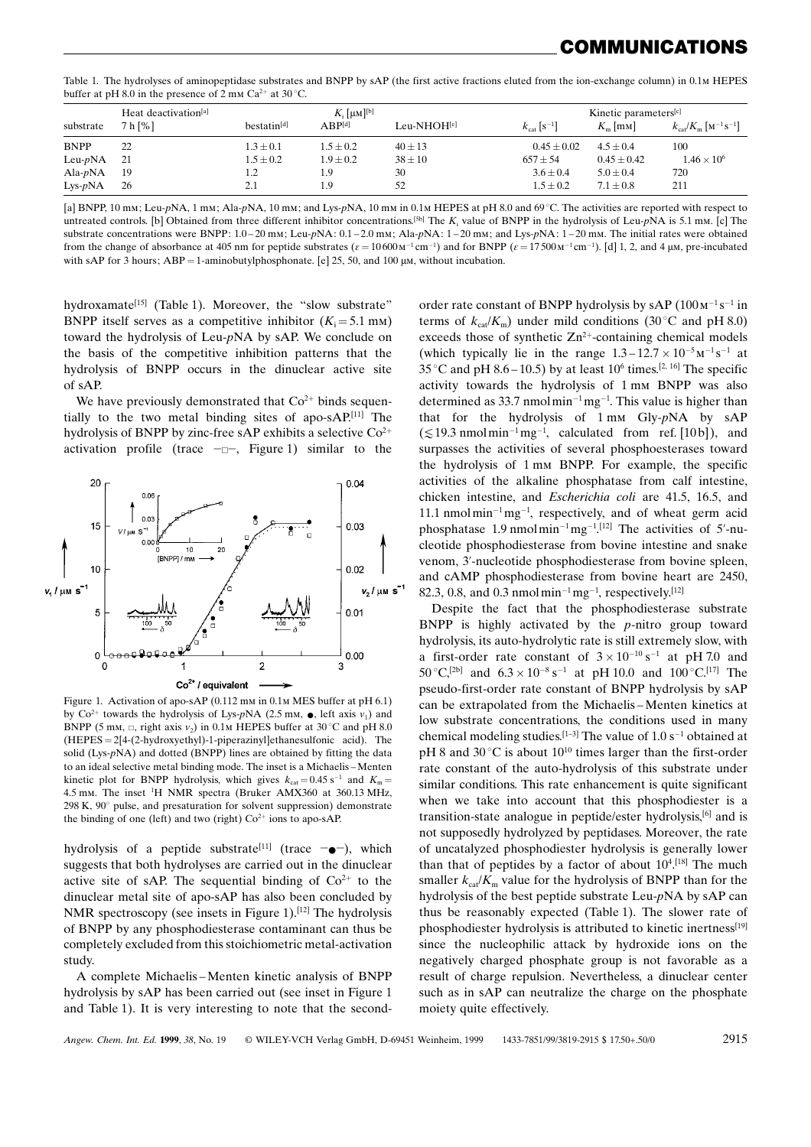## OMMUNICATIONS

Table 1. The hydrolyses of aminopeptidase substrates and BNPP by sAP (the first active fractions eluted from the ion-exchange column) in 0.1m HEPES buffer at pH 8.0 in the presence of 2 mm  $Ca^{2+}$  at 30 °C.

|             | Heat deactivation <sup>[a]</sup> | $K_i$ [µM] <sup>[b]</sup> |               |             | Kinetic parameters <sup>[c]</sup>   |                  |                                                                  |
|-------------|----------------------------------|---------------------------|---------------|-------------|-------------------------------------|------------------|------------------------------------------------------------------|
| substrate   | 7 h [%]                          | bestatin <sup>[d]</sup>   | $ABP^{[d]}$   | Leu-NHOH[e] | $k_{\text{cat}}$ [S <sup>-1</sup> ] | $K_{\rm m}$ [mm] | $k_{\text{cat}}/K_{\text{m}}$ [M <sup>-1</sup> S <sup>-1</sup> ] |
| <b>BNPP</b> | 22                               | $1.3 \pm 0.1$             | $1.5 \pm 0.2$ | $40 \pm 13$ | $0.45 \pm 0.02$                     | $4.5 + 0.4$      | 100                                                              |
| Leu- $pNA$  | - 21                             | $1.5 \pm 0.2$             | $1.9 \pm 0.2$ | $38 \pm 10$ | $657 \pm 54$                        | $0.45 \pm 0.42$  | $1.46 \times 10^{6}$                                             |
| Ala- $pNA$  | -19                              | 1.2                       | 1.9           | 30          | $3.6 \pm 0.4$                       | $5.0 \pm 0.4$    | 720                                                              |
| $Lys-pNA$   | 26                               | 2.1                       | 1.9           | 52          | $1.5 + 0.2$                         | $7.1 \pm 0.8$    | 211                                                              |

[a] BNPP, 10 mm; Leu-pNA, 1 mm; Ala-pNA, 10 mm; and Lys-pNA, 10 mm in 0.1m HEPES at pH 8.0 and 69 °C. The activities are reported with respect to untreated controls. [b] Obtained from three different inhibitor concentrations.<sup>[5b]</sup> The  $K_i$  value of BNPP in the hydrolysis of Leu-pNA is 5.1 mm. [c] The substrate concentrations were BNPP:  $1.0-20$  mm; Leu-pNA:  $0.1-2.0$  mm; Ala-pNA:  $1-20$  mm; and Lys-pNA:  $1-20$  mm. The initial rates were obtained from the change of absorbance at 405 nm for peptide substrates  $(\varepsilon = 10600 \text{ m}^{-1} \text{cm}^{-1})$  and for BNPP  $(\varepsilon = 17500 \text{ m}^{-1} \text{cm}^{-1})$ . [d] 1, 2, and 4 µm, pre-incubated with sAP for 3 hours;  $ABP = 1$ -aminobutylphosphonate. [e] 25, 50, and 100  $\mu$ m, without incubation.

hydroxamate<sup>[15]</sup> (Table 1). Moreover, the "slow substrate" BNPP itself serves as a competitive inhibitor  $(K_i = 5.1 \text{ mm})$ toward the hydrolysis of Leu-pNA by sAP. We conclude on the basis of the competitive inhibition patterns that the hydrolysis of BNPP occurs in the dinuclear active site of sAP.

We have previously demonstrated that  $Co<sup>2+</sup>$  binds sequentially to the two metal binding sites of apo-sAP. [11] The hydrolysis of BNPP by zinc-free sAP exhibits a selective  $Co^{2+}$ activation profile (trace  $\neg \Box \neg$ , Figure 1) similar to the



Figure 1. Activation of apo-sAP (0.112 mm in 0.1m MES buffer at pH 6.1) by Co<sup>2+</sup> towards the hydrolysis of Lys-pNA (2.5 mm,  $\bullet$ , left axis  $v_1$ ) and BNPP (5 mm,  $\Box$ , right axis  $v_2$ ) in 0.1m HEPES buffer at 30 °C and pH 8.0  $(HEPES = 2[4-(2-hydroxyethyl)-1-piperaziny]ethanesulfonic acid)$ . The solid (Lys-pNA) and dotted (BNPP) lines are obtained by fitting the data to an ideal selective metal binding mode. The inset is a Michaelis-Menten kinetic plot for BNPP hydrolysis, which gives  $k_{\text{cat}} = 0.45 \text{ s}^{-1}$  and  $K_{\text{m}} =$ 4.5 mm. The inset <sup>1</sup> H NMR spectra (Bruker AMX360 at 360.13 MHz, 298 K,  $90^{\circ}$  pulse, and presaturation for solvent suppression) demonstrate the binding of one (left) and two (right)  $Co<sup>2+</sup>$  ions to apo-sAP.

hydrolysis of a peptide substrate<sup>[11]</sup> (trace  $\leftarrow$ ), which suggests that both hydrolyses are carried out in the dinuclear active site of sAP. The sequential binding of  $Co<sup>2+</sup>$  to the dinuclear metal site of apo-sAP has also been concluded by NMR spectroscopy (see insets in Figure 1).<sup>[12]</sup> The hydrolysis of BNPP by any phosphodiesterase contaminant can thus be completely excluded from this stoichiometric metal-activation study.

A complete Michaelis-Menten kinetic analysis of BNPP hydrolysis by sAP has been carried out (see inset in Figure 1 and Table 1). It is very interesting to note that the secondorder rate constant of BNPP hydrolysis by sAP  $(100 \text{ m}^{-1} \text{ s}^{-1})$  in terms of  $k_{cat}/K_m$ ) under mild conditions (30°C and pH 8.0) exceeds those of synthetic  $Zn^{2+}$ -containing chemical models (which typically lie in the range  $1.3-12.7 \times 10^{-5} \text{m}^{-1} \text{ s}^{-1}$  at 35 °C and pH 8.6 – 10.5) by at least 10<sup>6</sup> times.<sup>[2, 16]</sup> The specific activity towards the hydrolysis of 1 mm BNPP was also determined as 33.7 nmolmin<sup>-1</sup>mg<sup>-1</sup>. This value is higher than that for the hydrolysis of 1 mm Gly-pNA by sAP  $(\leq 19.3 \text{ nmol}\,\text{min}^{-1}\,\text{mg}^{-1}$ , calculated from ref. [10b]), and surpasses the activities of several phosphoesterases toward the hydrolysis of 1 mm BNPP. For example, the specific activities of the alkaline phosphatase from calf intestine, chicken intestine, and Escherichia coli are 41.5, 16.5, and 11.1 nmolmin<sup>-1</sup> mg<sup>-1</sup>, respectively, and of wheat germ acid phosphatase 1.9 nmolmin<sup>-1</sup>mg<sup>-1</sup>.<sup>[12]</sup> The activities of 5'-nucleotide phosphodiesterase from bovine intestine and snake venom, 3'-nucleotide phosphodiesterase from bovine spleen, and cAMP phosphodiesterase from bovine heart are 2450, 82.3, 0.8, and 0.3 nmol min<sup>-1</sup> mg<sup>-1</sup>, respectively.<sup>[12]</sup>

Despite the fact that the phosphodiesterase substrate BNPP is highly activated by the  $p$ -nitro group toward hydrolysis, its auto-hydrolytic rate is still extremely slow, with a first-order rate constant of  $3 \times 10^{-10}$  s<sup>-1</sup> at pH 7.0 and  $50^{\circ}C$ ,<sup>[2b]</sup> and  $6.3 \times 10^{-8}$  s<sup>-1</sup> at pH 10.0 and  $100^{\circ}C$ .<sup>[17]</sup> The pseudo-first-order rate constant of BNPP hydrolysis by sAP can be extrapolated from the Michaelis-Menten kinetics at low substrate concentrations, the conditions used in many chemical modeling studies.<sup>[1-3]</sup> The value of  $1.0 s<sup>-1</sup>$  obtained at pH 8 and  $30^{\circ}$ C is about  $10^{10}$  times larger than the first-order rate constant of the auto-hydrolysis of this substrate under similar conditions. This rate enhancement is quite significant when we take into account that this phosphodiester is a transition-state analogue in peptide/ester hydrolysis,<sup>[6]</sup> and is not supposedly hydrolyzed by peptidases. Moreover, the rate of uncatalyzed phosphodiester hydrolysis is generally lower than that of peptides by a factor of about  $10<sup>4</sup>$ .<sup>[18]</sup> The much smaller  $k_{\text{cat}}/K_{\text{m}}$  value for the hydrolysis of BNPP than for the hydrolysis of the best peptide substrate Leu-pNA by sAP can thus be reasonably expected (Table 1). The slower rate of phosphodiester hydrolysis is attributed to kinetic inertness<sup>[19]</sup> since the nucleophilic attack by hydroxide ions on the negatively charged phosphate group is not favorable as a result of charge repulsion. Nevertheless, a dinuclear center such as in sAP can neutralize the charge on the phosphate moiety quite effectively.